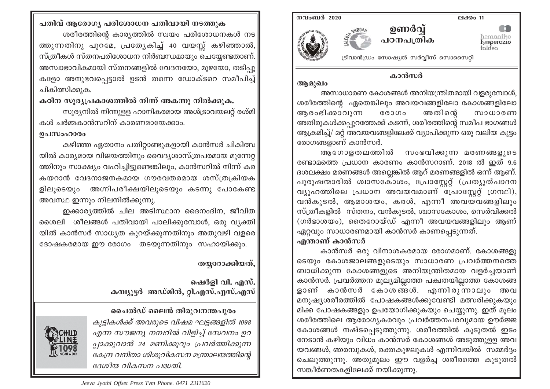

#### കാൻസർ

അസാധാരണ കോശങ്ങൾ അനിയന്ത്രിതമായി വളരുമ്പോൾ, ശരീരത്തിന്റെ ഏതെങ്കിലും അവയവങ്ങളിലോ കോശങ്ങളിലോ ആരംഭിക്കാവുന്ന  $@0000$ അതിന്റെ സാധാരണി |അതിരുകൾക്കപ്പുറത്തേക്ക് കടന്ന്, ശരീരത്തിന്റെ സമീപ ഭാഗങ്ങൾ|| ആക്രമിച്ച്/ മറ്റ് അവയവങ്ങളിലേക്ക് വ്യാപിക്കുന്ന ഒരു വലിയ കുട്ടം| രോഗങ്ങളാണ് കാൻസർ.

ആഗോളതലത്തിൽ സംഭവിക്കുന്ന മരണങ്ങളുടെ∥ രണ്ടാമത്തെ പ്രധാന കാരണം കാൻസറാണ്. 2018 ൽ ഇത് 9.6 ദശലക്ഷം മരണങ്ങൾ അല്ലെങ്കിൽ ആറ് മരണങ്ങളിൽ ഒന്ന് ആണ്. $\mid$ പുരുഷന്മാരിൽ ശ്വാസകോശം, പ്രോസ്റ്റേറ്റ് (പ്രത്യുത്പാദന∥ വ്യൂഹത്തിലെ പ്രധാന അവയവമാണ് പ്രോസ്റ്റേറ്റ് ഗ്രന്ഥി), വൻകുടൽ, ആമാശയം, കരൾ, എന്നീ അവയവങ്ങളിലും|| സ്ത്രീകളിൽ സ്തനം, വൻകുടൽ, ശ്വാസകോശം, സെർവിക്കൽ $\parallel$  $($ ഗർഭാശയം), തൈറോയ്ഡ് എന്നീ അവയവങ്ങളിലും ആണ് $|$ ഏറ്റവും സാധാരണമായി കാൻസർ കാണപ്പെടുന്നത്.

#### എന്താണ് കാൻസ**ർ**

ആമുഖം

കാൻസർ ഒരു വിനാശകരമായ രോഗമാണ്. കോശങ്ങളു ടെയും കോശജാലങ്ങളുടെയും സാധാരണ പ്രവർത്തനത്തെ| ബാധിക്കുന്ന കോശങ്ങളുടെ അനിയന്ത്രിതമായ വളർച്ചയാണ് $|$ കാൻസർ. പ്രവർത്തന മുല്യമില്ലാത്ത പക്വതയില്ലാത്ത കോശങ്ങ ളാണ് കാൻസർ കോശങ്ങൾ. എന്നിരുന്നാലും അവ∥ മനുഷ്യശരീരത്തിൽ പോഷകങ്ങൾക്കുവേണ്ടി മത്സരിക്കുകയും $\parallel$ മിക്ക പോഷകങ്ങളും ഉപയോഗിക്കുകയും ചെയ്യുന്നു. ഇത് മൂലം|| ശരീരത്തിലെ ആരോഗ്യകരവും പ്രവർത്തനപരവുമായ ഊർജ്ജ|| കോശങ്ങൾ നഷ്ടപ്പെടുത്തുന്നു. ശരീരത്തിൽ കൂടുതൽ ഇടം|| നേടാൻ കഴിയും വിധം കാൻസർ കോശങ്ങൾ അടുത്തുള്ള അവ $\parallel$ യവങ്ങൾ, ഞരമ്പുകൾ, രക്തകുഴലുകൾ എന്നിവയിൽ സമ്മർദ്ദം $\parallel$ ചെലുത്തുന്നു. അതുമൂലം ഈ വളർച്ച ശരീരത്തെ കൂടുതൽ|| സങ്കീർണതകളിലേക്ക് നയിക്കുന്നു.

# പതിവ് ആരോഗ്യ പരിശോധന പതിവായി നടത്തുക ശരീരത്തിന്റെ കാര്യത്തിൽ സ്വയം പരിശോധനകൾ നട $\mid$ ത്തുന്നതിനു പുറമേ, പ്രത്യേകിച്ച് 40 വയസ്സ് കഴിഞ്ഞാൽ, സ്ത്രീകൾ സ്തനപരിശോധന നിർബന്ധമായും ചെയ്യേണ്ടതാണ്. അസ്വാഭാവികമായി സ്തനങ്ങളിൽ വേദനയോ, മുഴയോ, തടിപു കളോ അനുഭവപ്പെട്ടാൽ ഉടൻ തന്നെ ഡോക്ടറെ സമീപിച്ച് ചികിത്സിക്കുക.

## കഠിന സൂര്യപ്രകാശത്തിൽ നിന്ന് അകന്നു നിൽക്കുക.

സുര്യനിൽ നിന്നുള്ള ഹാനികരമായ അൾട്രാവയലറ്റ് രശ്മി കൾ ചർമ്മകാൻസറിന് കാരണമായേക്കാം.

#### ഉപസംഹാരം

കഴിഞ്ഞ ഏതാനം പതിറ്റാണ്ടുകളായി കാൻസർ ചികിത്സ യിൽ കാര്യമായ വിജയത്തിനും വൈദ്യശാസ്ത്രപരമായ മുന്നേറ്റ ത്തിനും സാക്ഷ്യം വഹിച്ചിട്ടുണ്ടെങ്കിലും, കാൻസറിൽ നിന്ന് കര കയറാൻ വേദനാജനകമായ ഗൗരവതരമായ ശസ്ത്രക്രിയക ളിലൂടെയും അഗ്നിപരീക്ഷയിലൂടെയും കടന്നു പോകേണ്ട| അവസ്ഥ ഇന്നും നിലനിൽക്കുന്നു.

ഇക്കാര്യത്തിൽ ചില അടിസ്ഥാന ദൈനംദിന, ജീവിത $|$ ശൈലി ശീലങ്ങൾ പതിവായി പാലിക്കുമ്പോൾ, ഒരു വൃക്തി യിൽ കാൻസർ സാധ്യത കുറയ്ക്കുന്നതിനും അതുവഴി വളരെ ദോഷകരമായ ഈ രോഗം തടയുന്നതിനും സഹായിക്കും.

# തയ്യാറാക്കിയത്,

ഷെർളി വി. എസ്. കമ്പ്യൂട്ടർ അഡ്മിൻ, റ്റി.എസ്.എസ്.എസ്

# ചൈൽഡ് ലൈൻ തിരുവനന്തപുരം കുട്ടികൾക്ക് അവരുടെ വിഷമ ഘട്ടങ്ങളിൽ 1098 എന്ന സൗജന്യ നമ്പറിൽ വിളിച്ച് സേവനം ഉറ പാക്കുവാൻ 24 മണിക്കുറും പ്രവർത്തിക്കുന്ന കേന്ദ്ര വനിതാ ശിശുവികസന മന്ത്രാലയത്തിന്റെ ദേശീയ വികസന പദ്ധതി.